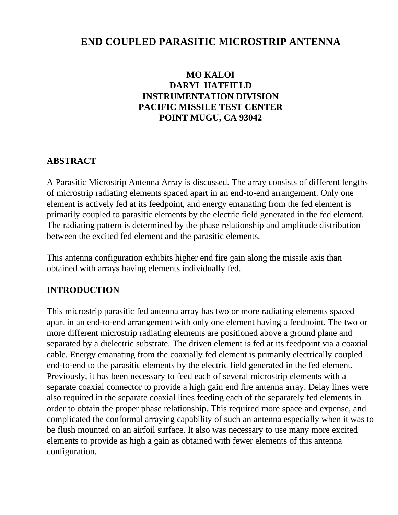# **END COUPLED PARASITIC MICROSTRIP ANTENNA**

## **MO KALOI DARYL HATFIELD INSTRUMENTATION DIVISION PACIFIC MISSILE TEST CENTER POINT MUGU, CA 93042**

#### **ABSTRACT**

A Parasitic Microstrip Antenna Array is discussed. The array consists of different lengths of microstrip radiating elements spaced apart in an end-to-end arrangement. Only one element is actively fed at its feedpoint, and energy emanating from the fed element is primarily coupled to parasitic elements by the electric field generated in the fed element. The radiating pattern is determined by the phase relationship and amplitude distribution between the excited fed element and the parasitic elements.

This antenna configuration exhibits higher end fire gain along the missile axis than obtained with arrays having elements individually fed.

#### **INTRODUCTION**

This microstrip parasitic fed antenna array has two or more radiating elements spaced apart in an end-to-end arrangement with only one element having a feedpoint. The two or more different microstrip radiating elements are positioned above a ground plane and separated by a dielectric substrate. The driven element is fed at its feedpoint via a coaxial cable. Energy emanating from the coaxially fed element is primarily electrically coupled end-to-end to the parasitic elements by the electric field generated in the fed element. Previously, it has been necessary to feed each of several microstrip elements with a separate coaxial connector to provide a high gain end fire antenna array. Delay lines were also required in the separate coaxial lines feeding each of the separately fed elements in order to obtain the proper phase relationship. This required more space and expense, and complicated the conformal arraying capability of such an antenna especially when it was to be flush mounted on an airfoil surface. It also was necessary to use many more excited elements to provide as high a gain as obtained with fewer elements of this antenna configuration.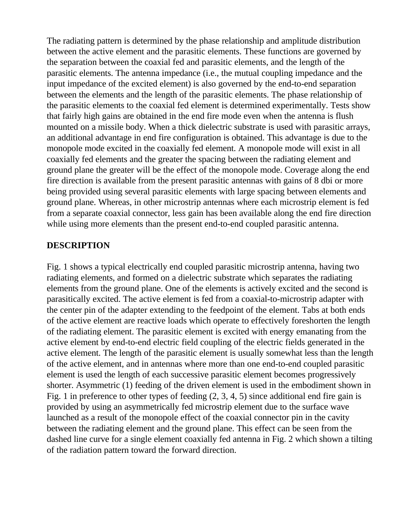The radiating pattern is determined by the phase relationship and amplitude distribution between the active element and the parasitic elements. These functions are governed by the separation between the coaxial fed and parasitic elements, and the length of the parasitic elements. The antenna impedance (i.e., the mutual coupling impedance and the input impedance of the excited element) is also governed by the end-to-end separation between the elements and the length of the parasitic elements. The phase relationship of the parasitic elements to the coaxial fed element is determined experimentally. Tests show that fairly high gains are obtained in the end fire mode even when the antenna is flush mounted on a missile body. When a thick dielectric substrate is used with parasitic arrays, an additional advantage in end fire configuration is obtained. This advantage is due to the monopole mode excited in the coaxially fed element. A monopole mode will exist in all coaxially fed elements and the greater the spacing between the radiating element and ground plane the greater will be the effect of the monopole mode. Coverage along the end fire direction is available from the present parasitic antennas with gains of 8 dbi or more being provided using several parasitic elements with large spacing between elements and ground plane. Whereas, in other microstrip antennas where each microstrip element is fed from a separate coaxial connector, less gain has been available along the end fire direction while using more elements than the present end-to-end coupled parasitic antenna.

#### **DESCRIPTION**

Fig. 1 shows a typical electrically end coupled parasitic microstrip antenna, having two radiating elements, and formed on a dielectric substrate which separates the radiating elements from the ground plane. One of the elements is actively excited and the second is parasitically excited. The active element is fed from a coaxial-to-microstrip adapter with the center pin of the adapter extending to the feedpoint of the element. Tabs at both ends of the active element are reactive loads which operate to effectively foreshorten the length of the radiating element. The parasitic element is excited with energy emanating from the active element by end-to-end electric field coupling of the electric fields generated in the active element. The length of the parasitic element is usually somewhat less than the length of the active element, and in antennas where more than one end-to-end coupled parasitic element is used the length of each successive parasitic element becomes progressively shorter. Asymmetric (1) feeding of the driven element is used in the embodiment shown in Fig. 1 in preference to other types of feeding (2, 3, 4, 5) since additional end fire gain is provided by using an asymmetrically fed microstrip element due to the surface wave launched as a result of the monopole effect of the coaxial connector pin in the cavity between the radiating element and the ground plane. This effect can be seen from the dashed line curve for a single element coaxially fed antenna in Fig. 2 which shown a tilting of the radiation pattern toward the forward direction.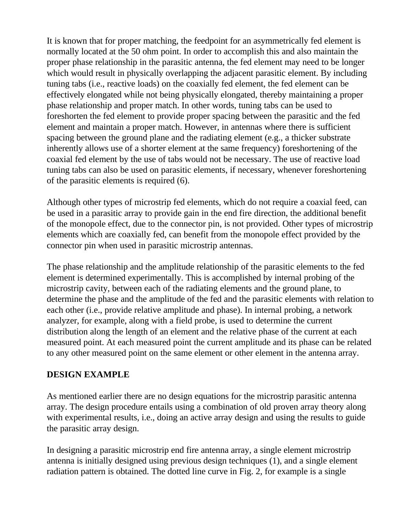It is known that for proper matching, the feedpoint for an asymmetrically fed element is normally located at the 50 ohm point. In order to accomplish this and also maintain the proper phase relationship in the parasitic antenna, the fed element may need to be longer which would result in physically overlapping the adjacent parasitic element. By including tuning tabs (i.e., reactive loads) on the coaxially fed element, the fed element can be effectively elongated while not being physically elongated, thereby maintaining a proper phase relationship and proper match. In other words, tuning tabs can be used to foreshorten the fed element to provide proper spacing between the parasitic and the fed element and maintain a proper match. However, in antennas where there is sufficient spacing between the ground plane and the radiating element (e.g., a thicker substrate inherently allows use of a shorter element at the same frequency) foreshortening of the coaxial fed element by the use of tabs would not be necessary. The use of reactive load tuning tabs can also be used on parasitic elements, if necessary, whenever foreshortening of the parasitic elements is required (6).

Although other types of microstrip fed elements, which do not require a coaxial feed, can be used in a parasitic array to provide gain in the end fire direction, the additional benefit of the monopole effect, due to the connector pin, is not provided. Other types of microstrip elements which are coaxially fed, can benefit from the monopole effect provided by the connector pin when used in parasitic microstrip antennas.

The phase relationship and the amplitude relationship of the parasitic elements to the fed element is determined experimentally. This is accomplished by internal probing of the microstrip cavity, between each of the radiating elements and the ground plane, to determine the phase and the amplitude of the fed and the parasitic elements with relation to each other (i.e., provide relative amplitude and phase). In internal probing, a network analyzer, for example, along with a field probe, is used to determine the current distribution along the length of an element and the relative phase of the current at each measured point. At each measured point the current amplitude and its phase can be related to any other measured point on the same element or other element in the antenna array.

## **DESIGN EXAMPLE**

As mentioned earlier there are no design equations for the microstrip parasitic antenna array. The design procedure entails using a combination of old proven array theory along with experimental results, i.e., doing an active array design and using the results to guide the parasitic array design.

In designing a parasitic microstrip end fire antenna array, a single element microstrip antenna is initially designed using previous design techniques (1), and a single element radiation pattern is obtained. The dotted line curve in Fig. 2, for example is a single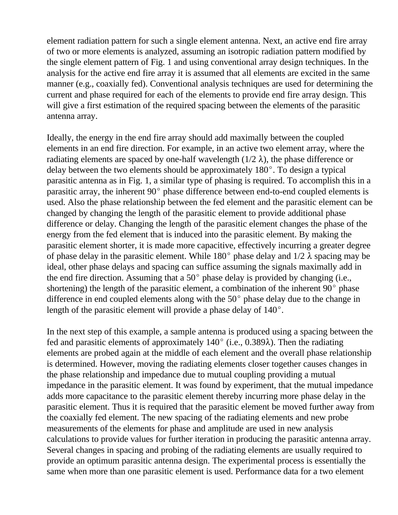element radiation pattern for such a single element antenna. Next, an active end fire array of two or more elements is analyzed, assuming an isotropic radiation pattern modified by the single element pattern of Fig. 1 and using conventional array design techniques. In the analysis for the active end fire array it is assumed that all elements are excited in the same manner (e.g., coaxially fed). Conventional analysis techniques are used for determining the current and phase required for each of the elements to provide end fire array design. This will give a first estimation of the required spacing between the elements of the parasitic antenna array.

Ideally, the energy in the end fire array should add maximally between the coupled elements in an end fire direction. For example, in an active two element array, where the radiating elements are spaced by one-half wavelength ( $1/2 \lambda$ ), the phase difference or delay between the two elements should be approximately  $180^\circ$ . To design a typical parasitic antenna as in Fig. 1, a similar type of phasing is required. To accomplish this in a parasitic array, the inherent  $90^{\circ}$  phase difference between end-to-end coupled elements is used. Also the phase relationship between the fed element and the parasitic element can be changed by changing the length of the parasitic element to provide additional phase difference or delay. Changing the length of the parasitic element changes the phase of the energy from the fed element that is induced into the parasitic element. By making the parasitic element shorter, it is made more capacitive, effectively incurring a greater degree of phase delay in the parasitic element. While 180 $^{\circ}$  phase delay and 1/2  $\lambda$  spacing may be ideal, other phase delays and spacing can suffice assuming the signals maximally add in the end fire direction. Assuming that a  $50^{\circ}$  phase delay is provided by changing (i.e., shortening) the length of the parasitic element, a combination of the inherent  $90^{\circ}$  phase difference in end coupled elements along with the  $50^{\circ}$  phase delay due to the change in length of the parasitic element will provide a phase delay of  $140^{\circ}$ .

In the next step of this example, a sample antenna is produced using a spacing between the fed and parasitic elements of approximately  $140^{\circ}$  (i.e., 0.389 $\lambda$ ). Then the radiating elements are probed again at the middle of each element and the overall phase relationship is determined. However, moving the radiating elements closer together causes changes in the phase relationship and impedance due to mutual coupling providing a mutual impedance in the parasitic element. It was found by experiment, that the mutual impedance adds more capacitance to the parasitic element thereby incurring more phase delay in the parasitic element. Thus it is required that the parasitic element be moved further away from the coaxially fed element. The new spacing of the radiating elements and new probe measurements of the elements for phase and amplitude are used in new analysis calculations to provide values for further iteration in producing the parasitic antenna array. Several changes in spacing and probing of the radiating elements are usually required to provide an optimum parasitic antenna design. The experimental process is essentially the same when more than one parasitic element is used. Performance data for a two element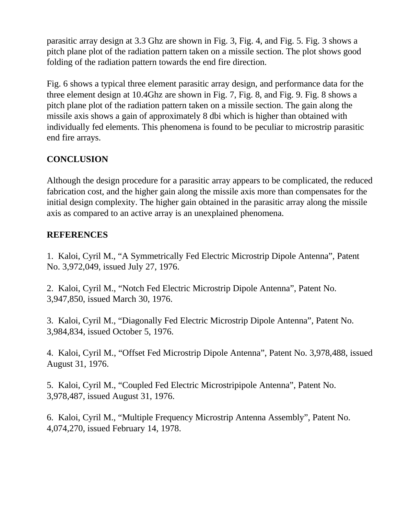parasitic array design at 3.3 Ghz are shown in Fig. 3, Fig. 4, and Fig. 5. Fig. 3 shows a pitch plane plot of the radiation pattern taken on a missile section. The plot shows good folding of the radiation pattern towards the end fire direction.

Fig. 6 shows a typical three element parasitic array design, and performance data for the three element design at 10.4Ghz are shown in Fig. 7, Fig. 8, and Fig. 9. Fig. 8 shows a pitch plane plot of the radiation pattern taken on a missile section. The gain along the missile axis shows a gain of approximately 8 dbi which is higher than obtained with individually fed elements. This phenomena is found to be peculiar to microstrip parasitic end fire arrays.

## **CONCLUSION**

Although the design procedure for a parasitic array appears to be complicated, the reduced fabrication cost, and the higher gain along the missile axis more than compensates for the initial design complexity. The higher gain obtained in the parasitic array along the missile axis as compared to an active array is an unexplained phenomena.

## **REFERENCES**

1. Kaloi, Cyril M., "A Symmetrically Fed Electric Microstrip Dipole Antenna", Patent No. 3,972,049, issued July 27, 1976.

2. Kaloi, Cyril M., "Notch Fed Electric Microstrip Dipole Antenna", Patent No. 3,947,850, issued March 30, 1976.

3. Kaloi, Cyril M., "Diagonally Fed Electric Microstrip Dipole Antenna", Patent No. 3,984,834, issued October 5, 1976.

4. Kaloi, Cyril M., "Offset Fed Microstrip Dipole Antenna", Patent No. 3,978,488, issued August 31, 1976.

5. Kaloi, Cyril M., "Coupled Fed Electric Microstripipole Antenna", Patent No. 3,978,487, issued August 31, 1976.

6. Kaloi, Cyril M., "Multiple Frequency Microstrip Antenna Assembly", Patent No. 4,074,270, issued February 14, 1978.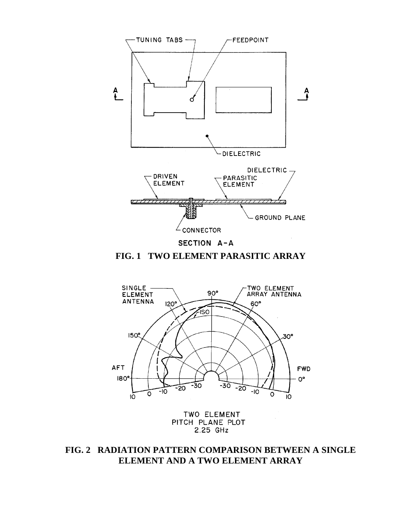

**FIG. 1 TWO ELEMENT PARASITIC ARRAY**



TWO ELEMENT PITCH PLANE PLOT 2.25 GHz

**FIG. 2 RADIATION PATTERN COMPARISON BETWEEN A SINGLE ELEMENT AND A TWO ELEMENT ARRAY**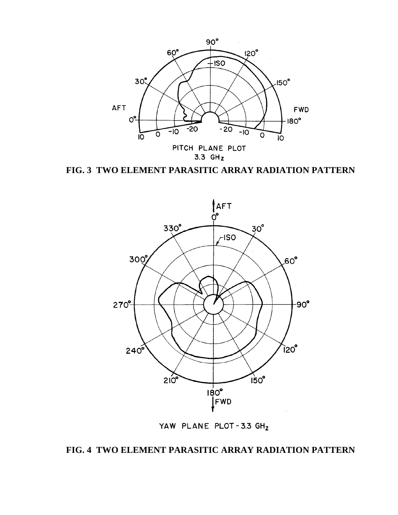

**FIG. 3 TWO ELEMENT PARASITIC ARRAY RADIATION PATTERN**



YAW PLANE PLOT-3.3 GHz

## **FIG. 4 TWO ELEMENT PARASITIC ARRAY RADIATION PATTERN**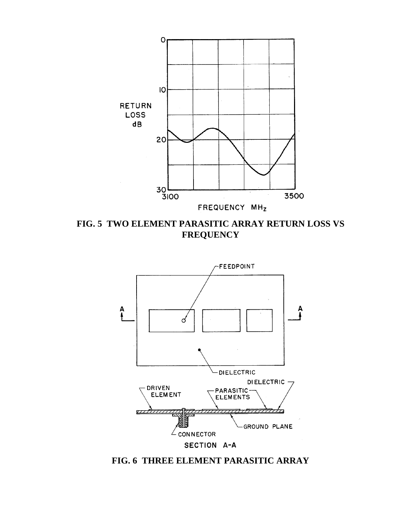

**FIG. 5 TWO ELEMENT PARASITIC ARRAY RETURN LOSS VS FREQUENCY**



**FIG. 6 THREE ELEMENT PARASITIC ARRAY**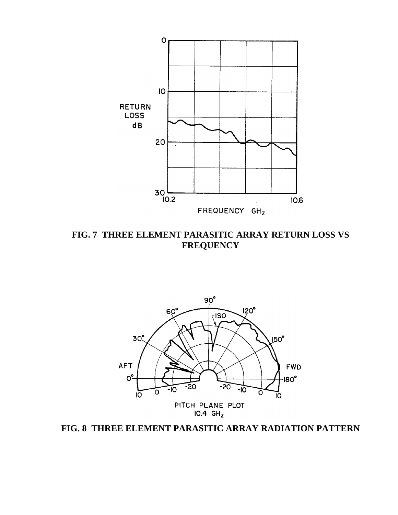

**FIG. 7 THREE ELEMENT PARASITIC ARRAY RETURN LOSS VS FREQUENCY**



**FIG. 8 THREE ELEMENT PARASITIC ARRAY RADIATION PATTERN**